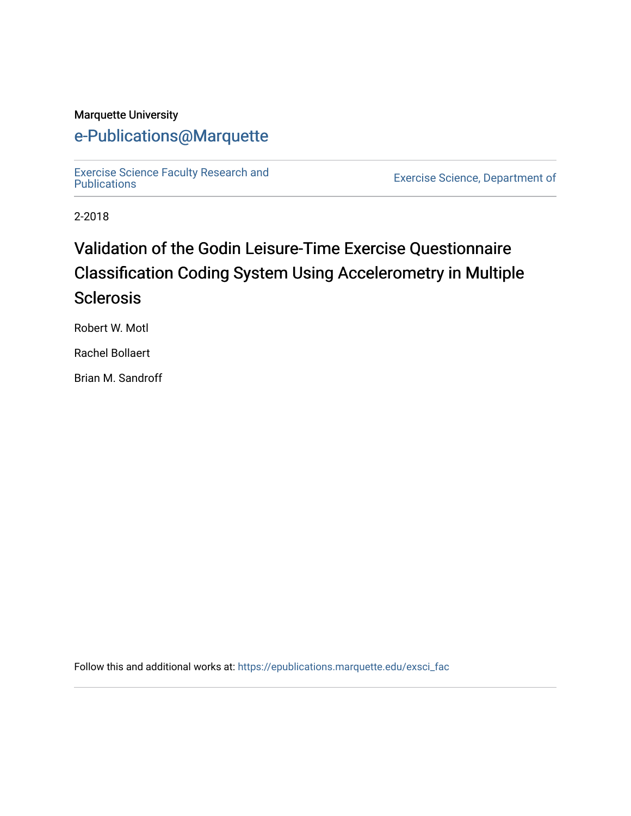### Marquette University

# [e-Publications@Marquette](https://epublications.marquette.edu/)

[Exercise Science Faculty Research and](https://epublications.marquette.edu/exsci_fac)

Exercise Science, Department of

2-2018

# Validation of the Godin Leisure-Time Exercise Questionnaire Classification Coding System Using Accelerometry in Multiple **Sclerosis**

Robert W. Motl

Rachel Bollaert

Brian M. Sandroff

Follow this and additional works at: [https://epublications.marquette.edu/exsci\\_fac](https://epublications.marquette.edu/exsci_fac?utm_source=epublications.marquette.edu%2Fexsci_fac%2F162&utm_medium=PDF&utm_campaign=PDFCoverPages)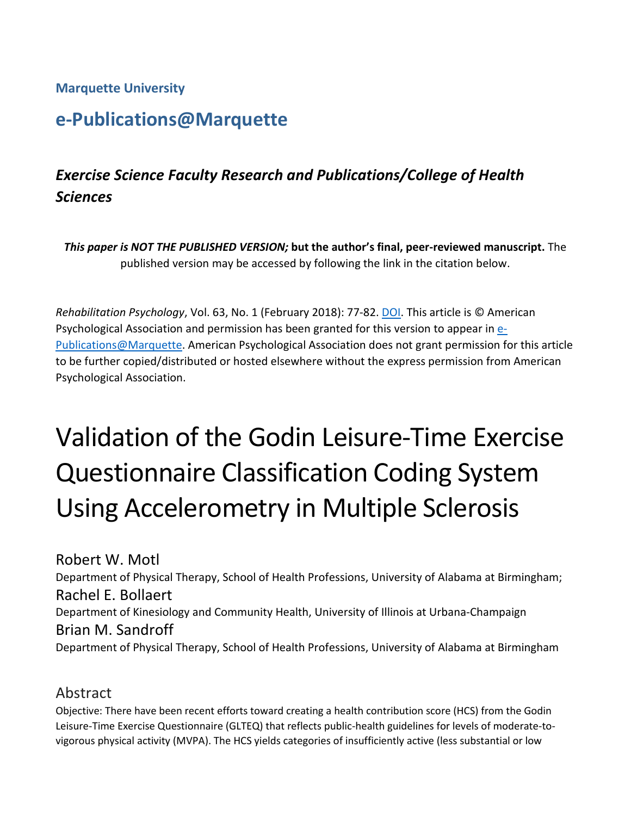**Marquette University**

# **e-Publications@Marquette**

# *Exercise Science Faculty Research and Publications/College of Health Sciences*

*This paper is NOT THE PUBLISHED VERSION;* **but the author's final, peer-reviewed manuscript.** The published version may be accessed by following the link in the citation below.

*Rehabilitation Psychology*, Vol. 63, No. 1 (February 2018): 77-82. [DOI.](http://dx.doi.org/10.1037/rep0000162) This article is © American Psychological Association and permission has been granted for this version to appear i[n e-](http://epublications.marquette.edu/)[Publications@Marquette.](http://epublications.marquette.edu/) American Psychological Association does not grant permission for this article to be further copied/distributed or hosted elsewhere without the express permission from American Psychological Association.

# Validation of the Godin Leisure-Time Exercise Questionnaire Classification Coding System Using Accelerometry in Multiple Sclerosis

Robert W. Motl Department of Physical Therapy, School of Health Professions, University of Alabama at Birmingham; Rachel E. Bollaert Department of Kinesiology and Community Health, University of Illinois at Urbana-Champaign Brian M. Sandroff Department of Physical Therapy, School of Health Professions, University of Alabama at Birmingham

# Abstract

Objective: There have been recent efforts toward creating a health contribution score (HCS) from the Godin Leisure-Time Exercise Questionnaire (GLTEQ) that reflects public-health guidelines for levels of moderate-tovigorous physical activity (MVPA). The HCS yields categories of insufficiently active (less substantial or low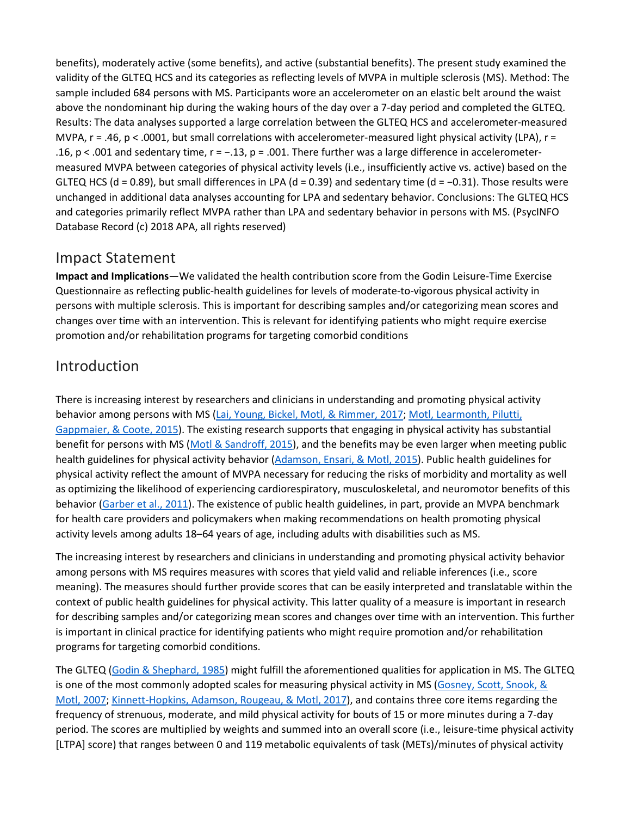benefits), moderately active (some benefits), and active (substantial benefits). The present study examined the validity of the GLTEQ HCS and its categories as reflecting levels of MVPA in multiple sclerosis (MS). Method: The sample included 684 persons with MS. Participants wore an accelerometer on an elastic belt around the waist above the nondominant hip during the waking hours of the day over a 7-day period and completed the GLTEQ. Results: The data analyses supported a large correlation between the GLTEQ HCS and accelerometer-measured MVPA,  $r = .46$ ,  $p < .0001$ , but small correlations with accelerometer-measured light physical activity (LPA),  $r =$ .16, p < .001 and sedentary time, r = −.13, p = .001. There further was a large difference in accelerometermeasured MVPA between categories of physical activity levels (i.e., insufficiently active vs. active) based on the GLTEQ HCS (d = 0.89), but small differences in LPA (d = 0.39) and sedentary time (d =  $-0.31$ ). Those results were unchanged in additional data analyses accounting for LPA and sedentary behavior. Conclusions: The GLTEQ HCS and categories primarily reflect MVPA rather than LPA and sedentary behavior in persons with MS. (PsycINFO Database Record (c) 2018 APA, all rights reserved)

# Impact Statement

**Impact and Implications**—We validated the health contribution score from the Godin Leisure-Time Exercise Questionnaire as reflecting public-health guidelines for levels of moderate-to-vigorous physical activity in persons with multiple sclerosis. This is important for describing samples and/or categorizing mean scores and changes over time with an intervention. This is relevant for identifying patients who might require exercise promotion and/or rehabilitation programs for targeting comorbid conditions

# [Introduction](https://0-web-b-ebscohost-com.libus.csd.mu.edu/ehost/detail/detail?vid=2&sid=03afdbc0-8d31-4c76-8ad9-eec2dc83d78c%40pdc-v-sessmgr03&bdata=JnNpdGU9ZWhvc3QtbGl2ZQ%3d%3d#toc)

There is increasing interest by researchers and clinicians in understanding and promoting physical activity behavior among persons with MS (Lai, Young, Bickel, Motl, & [Rimmer,](https://0-web-b-ebscohost-com.libus.csd.mu.edu/ehost/detail/detail?vid=2&sid=03afdbc0-8d31-4c76-8ad9-eec2dc83d78c%40pdc-v-sessmgr03&bdata=JnNpdGU9ZWhvc3QtbGl2ZQ%3d%3d#c12) 2017; Motl, [Learmonth,](https://0-web-b-ebscohost-com.libus.csd.mu.edu/ehost/detail/detail?vid=2&sid=03afdbc0-8d31-4c76-8ad9-eec2dc83d78c%40pdc-v-sessmgr03&bdata=JnNpdGU9ZWhvc3QtbGl2ZQ%3d%3d#c14) Pilutti, [Gappmaier,](https://0-web-b-ebscohost-com.libus.csd.mu.edu/ehost/detail/detail?vid=2&sid=03afdbc0-8d31-4c76-8ad9-eec2dc83d78c%40pdc-v-sessmgr03&bdata=JnNpdGU9ZWhvc3QtbGl2ZQ%3d%3d#c14) & Coote, 2015). The existing research supports that engaging in physical activity has substantial benefit for persons with MS (Motl & [Sandroff,](https://0-web-b-ebscohost-com.libus.csd.mu.edu/ehost/detail/detail?vid=2&sid=03afdbc0-8d31-4c76-8ad9-eec2dc83d78c%40pdc-v-sessmgr03&bdata=JnNpdGU9ZWhvc3QtbGl2ZQ%3d%3d#c102) 2015), and the benefits may be even larger when meeting public health guidelines for physical activity behavior [\(Adamson,](https://0-web-b-ebscohost-com.libus.csd.mu.edu/ehost/detail/detail?vid=2&sid=03afdbc0-8d31-4c76-8ad9-eec2dc83d78c%40pdc-v-sessmgr03&bdata=JnNpdGU9ZWhvc3QtbGl2ZQ%3d%3d#c101) Ensari, & Motl, 2015). Public health guidelines for physical activity reflect the amount of MVPA necessary for reducing the risks of morbidity and mortality as well as optimizing the likelihood of experiencing cardiorespiratory, musculoskeletal, and neuromotor benefits of this behavior [\(Garber](https://0-web-b-ebscohost-com.libus.csd.mu.edu/ehost/detail/detail?vid=2&sid=03afdbc0-8d31-4c76-8ad9-eec2dc83d78c%40pdc-v-sessmgr03&bdata=JnNpdGU9ZWhvc3QtbGl2ZQ%3d%3d#c6) et al., 2011). The existence of public health guidelines, in part, provide an MVPA benchmark for health care providers and policymakers when making recommendations on health promoting physical activity levels among adults 18–64 years of age, including adults with disabilities such as MS.

The increasing interest by researchers and clinicians in understanding and promoting physical activity behavior among persons with MS requires measures with scores that yield valid and reliable inferences (i.e., score meaning). The measures should further provide scores that can be easily interpreted and translatable within the context of public health guidelines for physical activity. This latter quality of a measure is important in research for describing samples and/or categorizing mean scores and changes over time with an intervention. This further is important in clinical practice for identifying patients who might require promotion and/or rehabilitation programs for targeting comorbid conditions.

The GLTEQ (Godin & [Shephard,](https://0-web-b-ebscohost-com.libus.csd.mu.edu/ehost/detail/detail?vid=2&sid=03afdbc0-8d31-4c76-8ad9-eec2dc83d78c%40pdc-v-sessmgr03&bdata=JnNpdGU9ZWhvc3QtbGl2ZQ%3d%3d#c8) 1985) might fulfill the aforementioned qualities for application in MS. The GLTEQ is one of the most commonly adopted scales for measuring physical activity in MS [\(Gosney,](https://0-web-b-ebscohost-com.libus.csd.mu.edu/ehost/detail/detail?vid=2&sid=03afdbc0-8d31-4c76-8ad9-eec2dc83d78c%40pdc-v-sessmgr03&bdata=JnNpdGU9ZWhvc3QtbGl2ZQ%3d%3d#c9) Scott, Snook, & [Motl,](https://0-web-b-ebscohost-com.libus.csd.mu.edu/ehost/detail/detail?vid=2&sid=03afdbc0-8d31-4c76-8ad9-eec2dc83d78c%40pdc-v-sessmgr03&bdata=JnNpdGU9ZWhvc3QtbGl2ZQ%3d%3d#c9) 2007; [Kinnett-Hopkins,](https://0-web-b-ebscohost-com.libus.csd.mu.edu/ehost/detail/detail?vid=2&sid=03afdbc0-8d31-4c76-8ad9-eec2dc83d78c%40pdc-v-sessmgr03&bdata=JnNpdGU9ZWhvc3QtbGl2ZQ%3d%3d#c11) Adamson, Rougeau, & Motl, 2017), and contains three core items regarding the frequency of strenuous, moderate, and mild physical activity for bouts of 15 or more minutes during a 7-day period. The scores are multiplied by weights and summed into an overall score (i.e., leisure-time physical activity [LTPA] score) that ranges between 0 and 119 metabolic equivalents of task (METs)/minutes of physical activity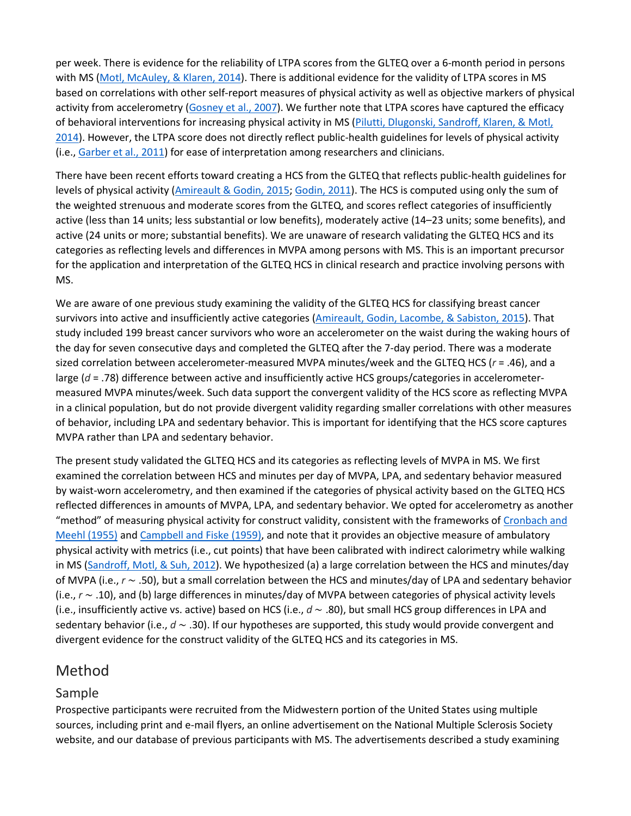per week. There is evidence for the reliability of LTPA scores from the GLTEQ over a 6-month period in persons with MS (Motl, [McAuley,](https://0-web-b-ebscohost-com.libus.csd.mu.edu/ehost/detail/detail?vid=2&sid=03afdbc0-8d31-4c76-8ad9-eec2dc83d78c%40pdc-v-sessmgr03&bdata=JnNpdGU9ZWhvc3QtbGl2ZQ%3d%3d#c15) & Klaren, 2014). There is additional evidence for the validity of LTPA scores in MS based on correlations with other self-report measures of physical activity as well as objective markers of physical activity from accelerometry [\(Gosney](https://0-web-b-ebscohost-com.libus.csd.mu.edu/ehost/detail/detail?vid=2&sid=03afdbc0-8d31-4c76-8ad9-eec2dc83d78c%40pdc-v-sessmgr03&bdata=JnNpdGU9ZWhvc3QtbGl2ZQ%3d%3d#c9) et al., 2007). We further note that LTPA scores have captured the efficacy of behavioral interventions for increasing physical activity in MS (Pilutti, [Dlugonski,](https://0-web-b-ebscohost-com.libus.csd.mu.edu/ehost/detail/detail?vid=2&sid=03afdbc0-8d31-4c76-8ad9-eec2dc83d78c%40pdc-v-sessmgr03&bdata=JnNpdGU9ZWhvc3QtbGl2ZQ%3d%3d#c18) Sandroff, Klaren, & Motl, [2014\)](https://0-web-b-ebscohost-com.libus.csd.mu.edu/ehost/detail/detail?vid=2&sid=03afdbc0-8d31-4c76-8ad9-eec2dc83d78c%40pdc-v-sessmgr03&bdata=JnNpdGU9ZWhvc3QtbGl2ZQ%3d%3d#c18). However, the LTPA score does not directly reflect public-health guidelines for levels of physical activity (i.e., [Garber](https://0-web-b-ebscohost-com.libus.csd.mu.edu/ehost/detail/detail?vid=2&sid=03afdbc0-8d31-4c76-8ad9-eec2dc83d78c%40pdc-v-sessmgr03&bdata=JnNpdGU9ZWhvc3QtbGl2ZQ%3d%3d#c6) et al., 2011) for ease of interpretation among researchers and clinicians.

There have been recent efforts toward creating a HCS from the GLTEQ that reflects public-health guidelines for levels of physical activity [\(Amireault](https://0-web-b-ebscohost-com.libus.csd.mu.edu/ehost/detail/detail?vid=2&sid=03afdbc0-8d31-4c76-8ad9-eec2dc83d78c%40pdc-v-sessmgr03&bdata=JnNpdGU9ZWhvc3QtbGl2ZQ%3d%3d#c1) & Godin, 2015; [Godin,](https://0-web-b-ebscohost-com.libus.csd.mu.edu/ehost/detail/detail?vid=2&sid=03afdbc0-8d31-4c76-8ad9-eec2dc83d78c%40pdc-v-sessmgr03&bdata=JnNpdGU9ZWhvc3QtbGl2ZQ%3d%3d#c7) 2011). The HCS is computed using only the sum of the weighted strenuous and moderate scores from the GLTEQ, and scores reflect categories of insufficiently active (less than 14 units; less substantial or low benefits), moderately active (14–23 units; some benefits), and active (24 units or more; substantial benefits). We are unaware of research validating the GLTEQ HCS and its categories as reflecting levels and differences in MVPA among persons with MS. This is an important precursor for the application and interpretation of the GLTEQ HCS in clinical research and practice involving persons with MS.

We are aware of one previous study examining the validity of the GLTEQ HCS for classifying breast cancer survivors into active and insufficiently active categories [\(Amireault,](https://0-web-b-ebscohost-com.libus.csd.mu.edu/ehost/detail/detail?vid=2&sid=03afdbc0-8d31-4c76-8ad9-eec2dc83d78c%40pdc-v-sessmgr03&bdata=JnNpdGU9ZWhvc3QtbGl2ZQ%3d%3d#c2) Godin, Lacombe, & Sabiston, 2015). That study included 199 breast cancer survivors who wore an accelerometer on the waist during the waking hours of the day for seven consecutive days and completed the GLTEQ after the 7-day period. There was a moderate sized correlation between accelerometer-measured MVPA minutes/week and the GLTEQ HCS (*r* = .46), and a large (*d* = .78) difference between active and insufficiently active HCS groups/categories in accelerometermeasured MVPA minutes/week. Such data support the convergent validity of the HCS score as reflecting MVPA in a clinical population, but do not provide divergent validity regarding smaller correlations with other measures of behavior, including LPA and sedentary behavior. This is important for identifying that the HCS score captures MVPA rather than LPA and sedentary behavior.

The present study validated the GLTEQ HCS and its categories as reflecting levels of MVPA in MS. We first examined the correlation between HCS and minutes per day of MVPA, LPA, and sedentary behavior measured by waist-worn accelerometry, and then examined if the categories of physical activity based on the GLTEQ HCS reflected differences in amounts of MVPA, LPA, and sedentary behavior. We opted for accelerometry as another "method" of measuring physical activity for construct validity, consistent with the frameworks of [Cronbach](https://0-web-b-ebscohost-com.libus.csd.mu.edu/ehost/detail/detail?vid=2&sid=03afdbc0-8d31-4c76-8ad9-eec2dc83d78c%40pdc-v-sessmgr03&bdata=JnNpdGU9ZWhvc3QtbGl2ZQ%3d%3d#c5) and Meehl [\(1955\)](https://0-web-b-ebscohost-com.libus.csd.mu.edu/ehost/detail/detail?vid=2&sid=03afdbc0-8d31-4c76-8ad9-eec2dc83d78c%40pdc-v-sessmgr03&bdata=JnNpdGU9ZWhvc3QtbGl2ZQ%3d%3d#c5) and [Campbell](https://0-web-b-ebscohost-com.libus.csd.mu.edu/ehost/detail/detail?vid=2&sid=03afdbc0-8d31-4c76-8ad9-eec2dc83d78c%40pdc-v-sessmgr03&bdata=JnNpdGU9ZWhvc3QtbGl2ZQ%3d%3d#c3) and Fiske (1959), and note that it provides an objective measure of ambulatory physical activity with metrics (i.e., cut points) that have been calibrated with indirect calorimetry while walking in MS [\(Sandroff,](https://0-web-b-ebscohost-com.libus.csd.mu.edu/ehost/detail/detail?vid=2&sid=03afdbc0-8d31-4c76-8ad9-eec2dc83d78c%40pdc-v-sessmgr03&bdata=JnNpdGU9ZWhvc3QtbGl2ZQ%3d%3d#c19) Motl, & Suh, 2012). We hypothesized (a) a large correlation between the HCS and minutes/day of MVPA (i.e., *r* ∼ .50), but a small correlation between the HCS and minutes/day of LPA and sedentary behavior (i.e., *r* ∼ .10), and (b) large differences in minutes/day of MVPA between categories of physical activity levels (i.e., insufficiently active vs. active) based on HCS (i.e., *d* ∼ .80), but small HCS group differences in LPA and sedentary behavior (i.e., *d* ∼ .30). If our hypotheses are supported, this study would provide convergent and divergent evidence for the construct validity of the GLTEQ HCS and its categories in MS.

# [Method](https://0-web-b-ebscohost-com.libus.csd.mu.edu/ehost/detail/detail?vid=2&sid=03afdbc0-8d31-4c76-8ad9-eec2dc83d78c%40pdc-v-sessmgr03&bdata=JnNpdGU9ZWhvc3QtbGl2ZQ%3d%3d#toc)

# Sample

Prospective participants were recruited from the Midwestern portion of the United States using multiple sources, including print and e-mail flyers, an online advertisement on the National Multiple Sclerosis Society website, and our database of previous participants with MS. The advertisements described a study examining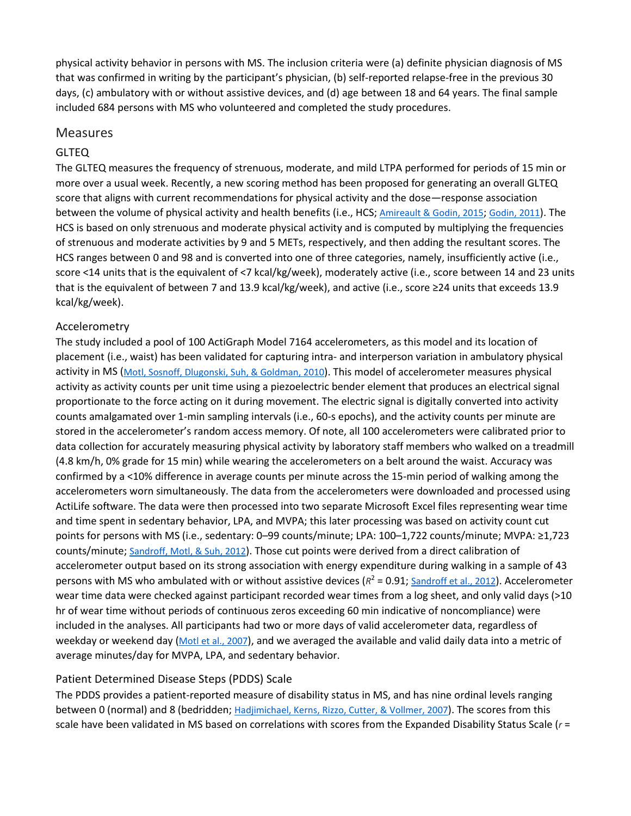physical activity behavior in persons with MS. The inclusion criteria were (a) definite physician diagnosis of MS that was confirmed in writing by the participant's physician, (b) self-reported relapse-free in the previous 30 days, (c) ambulatory with or without assistive devices, and (d) age between 18 and 64 years. The final sample included 684 persons with MS who volunteered and completed the study procedures.

#### Measures

#### GLTEQ

The GLTEQ measures the frequency of strenuous, moderate, and mild LTPA performed for periods of 15 min or more over a usual week. Recently, a new scoring method has been proposed for generating an overall GLTEQ score that aligns with current recommendations for physical activity and the dose—response association between the volume of physical activity and health benefits (i.e., HCS; [Amireault](https://0-web-b-ebscohost-com.libus.csd.mu.edu/ehost/detail/detail?vid=2&sid=03afdbc0-8d31-4c76-8ad9-eec2dc83d78c%40pdc-v-sessmgr03&bdata=JnNpdGU9ZWhvc3QtbGl2ZQ%3d%3d#c1) & Godin, 2015; [Godin,](https://0-web-b-ebscohost-com.libus.csd.mu.edu/ehost/detail/detail?vid=2&sid=03afdbc0-8d31-4c76-8ad9-eec2dc83d78c%40pdc-v-sessmgr03&bdata=JnNpdGU9ZWhvc3QtbGl2ZQ%3d%3d#c7) 2011). The HCS is based on only strenuous and moderate physical activity and is computed by multiplying the frequencies of strenuous and moderate activities by 9 and 5 METs, respectively, and then adding the resultant scores. The HCS ranges between 0 and 98 and is converted into one of three categories, namely, insufficiently active (i.e., score <14 units that is the equivalent of <7 kcal/kg/week), moderately active (i.e., score between 14 and 23 units that is the equivalent of between 7 and 13.9 kcal/kg/week), and active (i.e., score ≥24 units that exceeds 13.9 kcal/kg/week).

#### Accelerometry

The study included a pool of 100 ActiGraph Model 7164 accelerometers, as this model and its location of placement (i.e., waist) has been validated for capturing intra- and interperson variation in ambulatory physical activity in MS (Motl, Sosnoff, [Dlugonski,](https://0-web-b-ebscohost-com.libus.csd.mu.edu/ehost/detail/detail?vid=2&sid=03afdbc0-8d31-4c76-8ad9-eec2dc83d78c%40pdc-v-sessmgr03&bdata=JnNpdGU9ZWhvc3QtbGl2ZQ%3d%3d#c16) Suh, & Goldman, 2010). This model of accelerometer measures physical activity as activity counts per unit time using a piezoelectric bender element that produces an electrical signal proportionate to the force acting on it during movement. The electric signal is digitally converted into activity counts amalgamated over 1-min sampling intervals (i.e., 60-s epochs), and the activity counts per minute are stored in the accelerometer's random access memory. Of note, all 100 accelerometers were calibrated prior to data collection for accurately measuring physical activity by laboratory staff members who walked on a treadmill (4.8 km/h, 0% grade for 15 min) while wearing the accelerometers on a belt around the waist. Accuracy was confirmed by a <10% difference in average counts per minute across the 15-min period of walking among the accelerometers worn simultaneously. The data from the accelerometers were downloaded and processed using ActiLife software. The data were then processed into two separate Microsoft Excel files representing wear time and time spent in sedentary behavior, LPA, and MVPA; this later processing was based on activity count cut points for persons with MS (i.e., sedentary: 0–99 counts/minute; LPA: 100–1,722 counts/minute; MVPA: ≥1,723 counts/minute; [Sandroff,](https://0-web-b-ebscohost-com.libus.csd.mu.edu/ehost/detail/detail?vid=2&sid=03afdbc0-8d31-4c76-8ad9-eec2dc83d78c%40pdc-v-sessmgr03&bdata=JnNpdGU9ZWhvc3QtbGl2ZQ%3d%3d#c19) Motl, & Suh, 2012). Those cut points were derived from a direct calibration of accelerometer output based on its strong association with energy expenditure during walking in a sample of 43 persons with MS who ambulated with or without assistive devices  $(R^2 = 0.91$ ; [Sandroff](https://0-web-b-ebscohost-com.libus.csd.mu.edu/ehost/detail/detail?vid=2&sid=03afdbc0-8d31-4c76-8ad9-eec2dc83d78c%40pdc-v-sessmgr03&bdata=JnNpdGU9ZWhvc3QtbGl2ZQ%3d%3d#c19) et al., 2012). Accelerometer wear time data were checked against participant recorded wear times from a log sheet, and only valid days (>10 hr of wear time without periods of continuous zeros exceeding 60 min indicative of noncompliance) were included in the analyses. All participants had two or more days of valid accelerometer data, regardless of weekday or weekend day (Motl et al., [2007\)](https://0-web-b-ebscohost-com.libus.csd.mu.edu/ehost/detail/detail?vid=2&sid=03afdbc0-8d31-4c76-8ad9-eec2dc83d78c%40pdc-v-sessmgr03&bdata=JnNpdGU9ZWhvc3QtbGl2ZQ%3d%3d#c17), and we averaged the available and valid daily data into a metric of average minutes/day for MVPA, LPA, and sedentary behavior.

#### Patient Determined Disease Steps (PDDS) Scale

The PDDS provides a patient-reported measure of disability status in MS, and has nine ordinal levels ranging between 0 (normal) and 8 (bedridden; [Hadjimichael,](https://0-web-b-ebscohost-com.libus.csd.mu.edu/ehost/detail/detail?vid=2&sid=03afdbc0-8d31-4c76-8ad9-eec2dc83d78c%40pdc-v-sessmgr03&bdata=JnNpdGU9ZWhvc3QtbGl2ZQ%3d%3d#c10) Kerns, Rizzo, Cutter, & Vollmer, 2007). The scores from this scale have been validated in MS based on correlations with scores from the Expanded Disability Status Scale (*r* =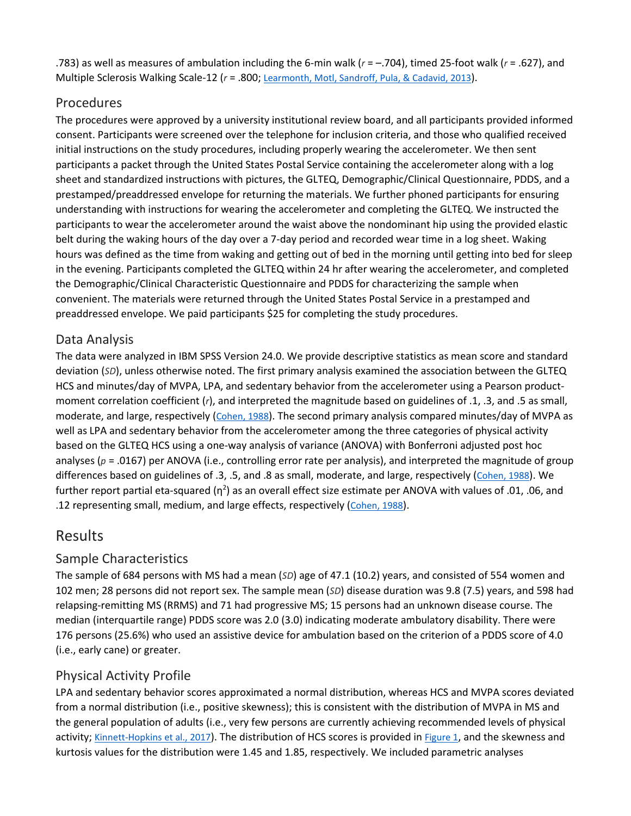.783) as well as measures of ambulation including the 6-min walk (*r* = –.704), timed 25-foot walk (*r* = .627), and Multiple Sclerosis Walking Scale-12 ( $r = .800$ ; [Learmonth,](https://0-web-b-ebscohost-com.libus.csd.mu.edu/ehost/detail/detail?vid=2&sid=03afdbc0-8d31-4c76-8ad9-eec2dc83d78c%40pdc-v-sessmgr03&bdata=JnNpdGU9ZWhvc3QtbGl2ZQ%3d%3d#c13) Motl, Sandroff, Pula, & Cadavid, 2013).

## Procedures

The procedures were approved by a university institutional review board, and all participants provided informed consent. Participants were screened over the telephone for inclusion criteria, and those who qualified received initial instructions on the study procedures, including properly wearing the accelerometer. We then sent participants a packet through the United States Postal Service containing the accelerometer along with a log sheet and standardized instructions with pictures, the GLTEQ, Demographic/Clinical Questionnaire, PDDS, and a prestamped/preaddressed envelope for returning the materials. We further phoned participants for ensuring understanding with instructions for wearing the accelerometer and completing the GLTEQ. We instructed the participants to wear the accelerometer around the waist above the nondominant hip using the provided elastic belt during the waking hours of the day over a 7-day period and recorded wear time in a log sheet. Waking hours was defined as the time from waking and getting out of bed in the morning until getting into bed for sleep in the evening. Participants completed the GLTEQ within 24 hr after wearing the accelerometer, and completed the Demographic/Clinical Characteristic Questionnaire and PDDS for characterizing the sample when convenient. The materials were returned through the United States Postal Service in a prestamped and preaddressed envelope. We paid participants \$25 for completing the study procedures.

## Data Analysis

The data were analyzed in IBM SPSS Version 24.0. We provide descriptive statistics as mean score and standard deviation (*SD*), unless otherwise noted. The first primary analysis examined the association between the GLTEQ HCS and minutes/day of MVPA, LPA, and sedentary behavior from the accelerometer using a Pearson productmoment correlation coefficient (*r*), and interpreted the magnitude based on guidelines of .1, .3, and .5 as small, moderate, and large, respectively [\(Cohen,](https://0-web-b-ebscohost-com.libus.csd.mu.edu/ehost/detail/detail?vid=2&sid=03afdbc0-8d31-4c76-8ad9-eec2dc83d78c%40pdc-v-sessmgr03&bdata=JnNpdGU9ZWhvc3QtbGl2ZQ%3d%3d#c4) 1988). The second primary analysis compared minutes/day of MVPA as well as LPA and sedentary behavior from the accelerometer among the three categories of physical activity based on the GLTEQ HCS using a one-way analysis of variance (ANOVA) with Bonferroni adjusted post hoc analyses ( $p = .0167$ ) per ANOVA (i.e., controlling error rate per analysis), and interpreted the magnitude of group differences based on guidelines of .3, .5, and .8 as small, moderate, and large, respectively [\(Cohen,](https://0-web-b-ebscohost-com.libus.csd.mu.edu/ehost/detail/detail?vid=2&sid=03afdbc0-8d31-4c76-8ad9-eec2dc83d78c%40pdc-v-sessmgr03&bdata=JnNpdGU9ZWhvc3QtbGl2ZQ%3d%3d#c4) 1988). We further report partial eta-squared ( $\eta^2$ ) as an overall effect size estimate per ANOVA with values of .01, .06, and .12 representing small, medium, and large effects, respectively [\(Cohen,](https://0-web-b-ebscohost-com.libus.csd.mu.edu/ehost/detail/detail?vid=2&sid=03afdbc0-8d31-4c76-8ad9-eec2dc83d78c%40pdc-v-sessmgr03&bdata=JnNpdGU9ZWhvc3QtbGl2ZQ%3d%3d#c4) 1988).

# [Results](https://0-web-b-ebscohost-com.libus.csd.mu.edu/ehost/detail/detail?vid=2&sid=03afdbc0-8d31-4c76-8ad9-eec2dc83d78c%40pdc-v-sessmgr03&bdata=JnNpdGU9ZWhvc3QtbGl2ZQ%3d%3d#toc)

# Sample Characteristics

The sample of 684 persons with MS had a mean (*SD*) age of 47.1 (10.2) years, and consisted of 554 women and 102 men; 28 persons did not report sex. The sample mean (*SD*) disease duration was 9.8 (7.5) years, and 598 had relapsing-remitting MS (RRMS) and 71 had progressive MS; 15 persons had an unknown disease course. The median (interquartile range) PDDS score was 2.0 (3.0) indicating moderate ambulatory disability. There were 176 persons (25.6%) who used an assistive device for ambulation based on the criterion of a PDDS score of 4.0 (i.e., early cane) or greater.

# Physical Activity Profile

LPA and sedentary behavior scores approximated a normal distribution, whereas HCS and MVPA scores deviated from a normal distribution (i.e., positive skewness); this is consistent with the distribution of MVPA in MS and the general population of adults (i.e., very few persons are currently achieving recommended levels of physical activity; [Kinnett-Hopkins](https://0-web-b-ebscohost-com.libus.csd.mu.edu/ehost/detail/detail?vid=2&sid=03afdbc0-8d31-4c76-8ad9-eec2dc83d78c%40pdc-v-sessmgr03&bdata=JnNpdGU9ZWhvc3QtbGl2ZQ%3d%3d#c11) et al., 2017). The distribution of HCS scores is provided in [Figure](https://0-web-b-ebscohost-com.libus.csd.mu.edu/ehost/detail/detail?vid=2&sid=03afdbc0-8d31-4c76-8ad9-eec2dc83d78c%40pdc-v-sessmgr03&bdata=JnNpdGU9ZWhvc3QtbGl2ZQ%3d%3d#fig1) 1, and the skewness and kurtosis values for the distribution were 1.45 and 1.85, respectively. We included parametric analyses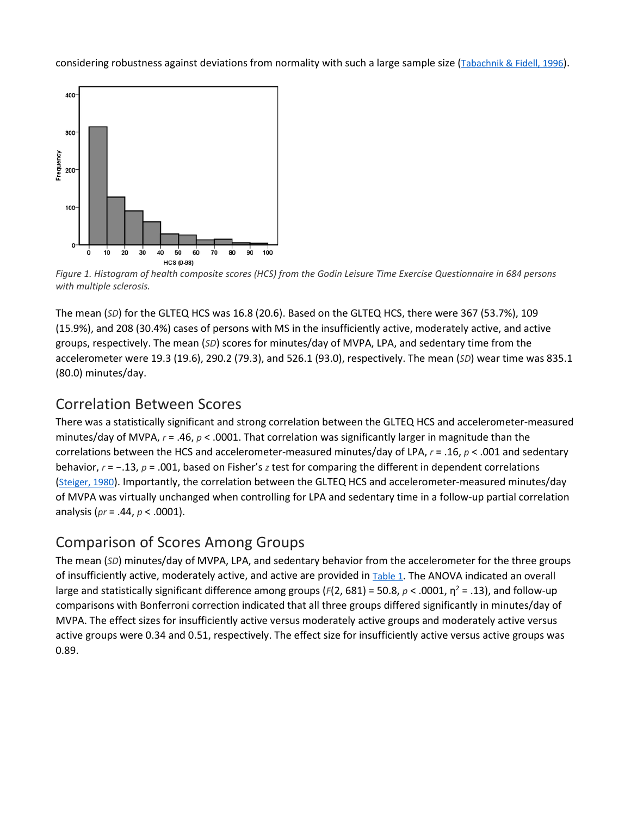considering robustness against deviations from normality with such a large sample size [\(Tabachnik](https://0-web-b-ebscohost-com.libus.csd.mu.edu/ehost/detail/detail?vid=2&sid=03afdbc0-8d31-4c76-8ad9-eec2dc83d78c%40pdc-v-sessmgr03&bdata=JnNpdGU9ZWhvc3QtbGl2ZQ%3d%3d#c21) & Fidell, 1996).



Figure 1. Histogram of health composite scores (HCS) from the Godin Leisure Time Exercise Questionnaire in 684 persons *with multiple sclerosis.*

The mean (*SD*) for the GLTEQ HCS was 16.8 (20.6). Based on the GLTEQ HCS, there were 367 (53.7%), 109 (15.9%), and 208 (30.4%) cases of persons with MS in the insufficiently active, moderately active, and active groups, respectively. The mean (*SD*) scores for minutes/day of MVPA, LPA, and sedentary time from the accelerometer were 19.3 (19.6), 290.2 (79.3), and 526.1 (93.0), respectively. The mean (*SD*) wear time was 835.1 (80.0) minutes/day.

# [Correlation Between Scores](https://0-web-b-ebscohost-com.libus.csd.mu.edu/ehost/detail/detail?vid=2&sid=03afdbc0-8d31-4c76-8ad9-eec2dc83d78c%40pdc-v-sessmgr03&bdata=JnNpdGU9ZWhvc3QtbGl2ZQ%3d%3d#toc)

There was a statistically significant and strong correlation between the GLTEQ HCS and accelerometer-measured minutes/day of MVPA, *r* = .46, *p* < .0001. That correlation was significantly larger in magnitude than the correlations between the HCS and accelerometer-measured minutes/day of LPA, *r* = .16, *p* < .001 and sedentary behavior, *r* = −.13, *p* = .001, based on Fisher's *z* test for comparing the different in dependent correlations [\(Steiger,](https://0-web-b-ebscohost-com.libus.csd.mu.edu/ehost/detail/detail?vid=2&sid=03afdbc0-8d31-4c76-8ad9-eec2dc83d78c%40pdc-v-sessmgr03&bdata=JnNpdGU9ZWhvc3QtbGl2ZQ%3d%3d#c20) 1980). Importantly, the correlation between the GLTEQ HCS and accelerometer-measured minutes/day of MVPA was virtually unchanged when controlling for LPA and sedentary time in a follow-up partial correlation analysis (*pr* = .44, *p* < .0001).

# [Comparison of Scores Among Groups](https://0-web-b-ebscohost-com.libus.csd.mu.edu/ehost/detail/detail?vid=2&sid=03afdbc0-8d31-4c76-8ad9-eec2dc83d78c%40pdc-v-sessmgr03&bdata=JnNpdGU9ZWhvc3QtbGl2ZQ%3d%3d#toc)

The mean (*SD*) minutes/day of MVPA, LPA, and sedentary behavior from the accelerometer for the three groups of insufficiently active, moderately active, and active are provided in [Table](https://0-web-b-ebscohost-com.libus.csd.mu.edu/ehost/detail/detail?vid=2&sid=03afdbc0-8d31-4c76-8ad9-eec2dc83d78c%40pdc-v-sessmgr03&bdata=JnNpdGU9ZWhvc3QtbGl2ZQ%3d%3d#tbl1) 1. The ANOVA indicated an overall large and statistically significant difference among groups (*F*(2, 681) = 50.8, *p* < .0001, η<sup>2</sup> = .13), and follow-up comparisons with Bonferroni correction indicated that all three groups differed significantly in minutes/day of MVPA. The effect sizes for insufficiently active versus moderately active groups and moderately active versus active groups were 0.34 and 0.51, respectively. The effect size for insufficiently active versus active groups was 0.89.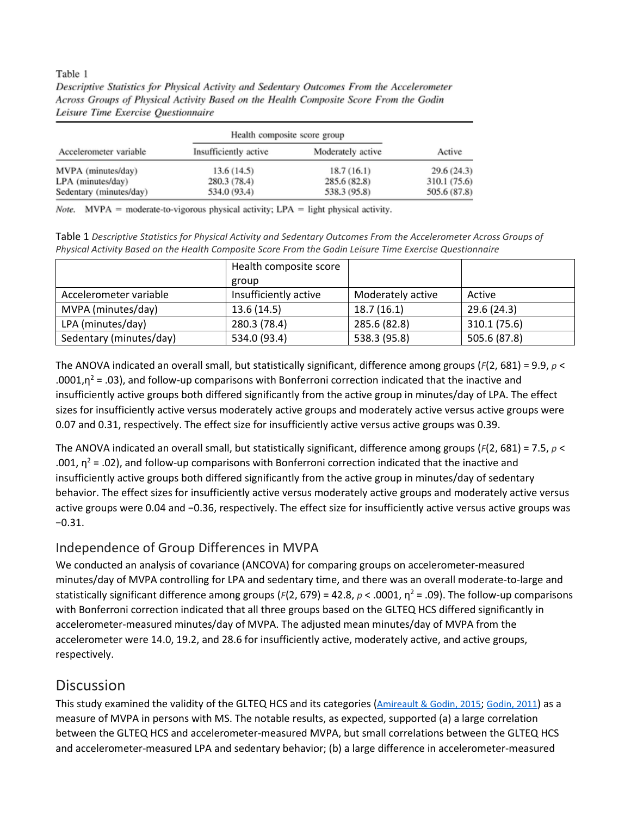#### Table 1

Descriptive Statistics for Physical Activity and Sedentary Outcomes From the Accelerometer Across Groups of Physical Activity Based on the Health Composite Score From the Godin Leisure Time Exercise Questionnaire

| Accelerometer variable  | Health composite score group |                   |              |
|-------------------------|------------------------------|-------------------|--------------|
|                         | Insufficiently active        | Moderately active | Active       |
| MVPA (minutes/day)      | 13.6(14.5)                   | 18.7(16.1)        | 29.6(24.3)   |
| LPA (minutes/day)       | 280.3 (78.4)                 | 285.6(82.8)       | 310.1 (75.6) |
| Sedentary (minutes/day) | 534.0 (93.4)                 | 538.3 (95.8)      | 505.6 (87.8) |

Note. MVPA = moderate-to-vigorous physical activity;  $LPA =$  light physical activity.

Table 1 *Descriptive Statistics for Physical Activity and Sedentary Outcomes From the Accelerometer Across Groups of Physical Activity Based on the Health Composite Score From the Godin Leisure Time Exercise Questionnaire*

|                         | Health composite score |                   |              |
|-------------------------|------------------------|-------------------|--------------|
|                         | group                  |                   |              |
| Accelerometer variable  | Insufficiently active  | Moderately active | Active       |
| MVPA (minutes/day)      | 13.6(14.5)             | 18.7(16.1)        | 29.6 (24.3)  |
| LPA (minutes/day)       | 280.3 (78.4)           | 285.6 (82.8)      | 310.1 (75.6) |
| Sedentary (minutes/day) | 534.0 (93.4)           | 538.3 (95.8)      | 505.6 (87.8) |

The ANOVA indicated an overall small, but statistically significant, difference among groups (*F*(2, 681) = 9.9, *p* < .0001, $n^2$  = .03), and follow-up comparisons with Bonferroni correction indicated that the inactive and insufficiently active groups both differed significantly from the active group in minutes/day of LPA. The effect sizes for insufficiently active versus moderately active groups and moderately active versus active groups were 0.07 and 0.31, respectively. The effect size for insufficiently active versus active groups was 0.39.

The ANOVA indicated an overall small, but statistically significant, difference among groups (*F*(2, 681) = 7.5, *p* < .001,  $\eta^2$  = .02), and follow-up comparisons with Bonferroni correction indicated that the inactive and insufficiently active groups both differed significantly from the active group in minutes/day of sedentary behavior. The effect sizes for insufficiently active versus moderately active groups and moderately active versus active groups were 0.04 and −0.36, respectively. The effect size for insufficiently active versus active groups was −0.31.

# Independence of Group Differences in MVPA

We conducted an analysis of covariance (ANCOVA) for comparing groups on accelerometer-measured minutes/day of MVPA controlling for LPA and sedentary time, and there was an overall moderate-to-large and statistically significant difference among groups (*F*(2, 679) = 42.8, *p* < .0001, η<sup>2</sup> = .09). The follow-up comparisons with Bonferroni correction indicated that all three groups based on the GLTEQ HCS differed significantly in accelerometer-measured minutes/day of MVPA. The adjusted mean minutes/day of MVPA from the accelerometer were 14.0, 19.2, and 28.6 for insufficiently active, moderately active, and active groups, respectively.

# **[Discussion](https://0-web-b-ebscohost-com.libus.csd.mu.edu/ehost/detail/detail?vid=2&sid=03afdbc0-8d31-4c76-8ad9-eec2dc83d78c%40pdc-v-sessmgr03&bdata=JnNpdGU9ZWhvc3QtbGl2ZQ%3d%3d#toc)**

This study examined the validity of the GLTEQ HCS and its categories [\(Amireault](https://0-web-b-ebscohost-com.libus.csd.mu.edu/ehost/detail/detail?vid=2&sid=03afdbc0-8d31-4c76-8ad9-eec2dc83d78c%40pdc-v-sessmgr03&bdata=JnNpdGU9ZWhvc3QtbGl2ZQ%3d%3d#c1) & [Godin,](https://0-web-b-ebscohost-com.libus.csd.mu.edu/ehost/detail/detail?vid=2&sid=03afdbc0-8d31-4c76-8ad9-eec2dc83d78c%40pdc-v-sessmgr03&bdata=JnNpdGU9ZWhvc3QtbGl2ZQ%3d%3d#c7) 2015; Godin, 2011) as a measure of MVPA in persons with MS. The notable results, as expected, supported (a) a large correlation between the GLTEQ HCS and accelerometer-measured MVPA, but small correlations between the GLTEQ HCS and accelerometer-measured LPA and sedentary behavior; (b) a large difference in accelerometer-measured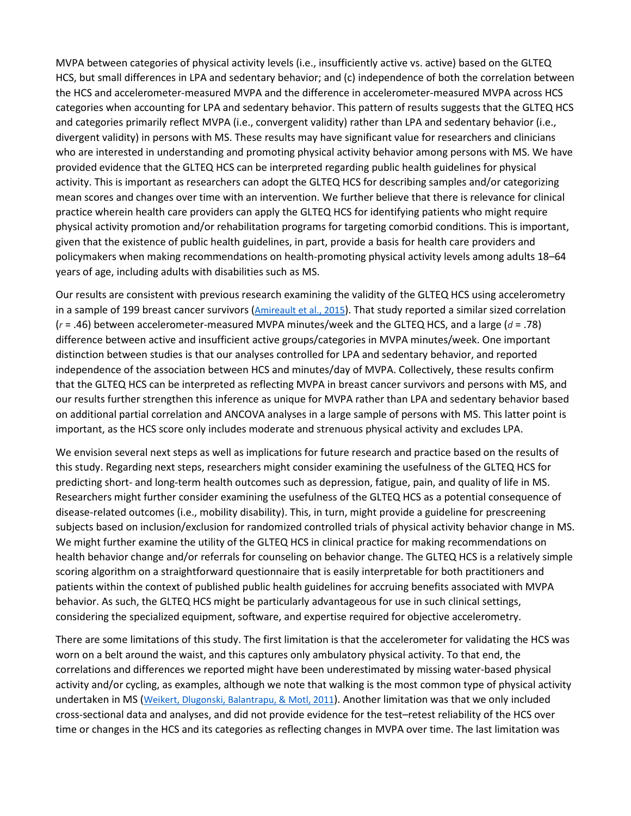MVPA between categories of physical activity levels (i.e., insufficiently active vs. active) based on the GLTEQ HCS, but small differences in LPA and sedentary behavior; and (c) independence of both the correlation between the HCS and accelerometer-measured MVPA and the difference in accelerometer-measured MVPA across HCS categories when accounting for LPA and sedentary behavior. This pattern of results suggests that the GLTEQ HCS and categories primarily reflect MVPA (i.e., convergent validity) rather than LPA and sedentary behavior (i.e., divergent validity) in persons with MS. These results may have significant value for researchers and clinicians who are interested in understanding and promoting physical activity behavior among persons with MS. We have provided evidence that the GLTEQ HCS can be interpreted regarding public health guidelines for physical activity. This is important as researchers can adopt the GLTEQ HCS for describing samples and/or categorizing mean scores and changes over time with an intervention. We further believe that there is relevance for clinical practice wherein health care providers can apply the GLTEQ HCS for identifying patients who might require physical activity promotion and/or rehabilitation programs for targeting comorbid conditions. This is important, given that the existence of public health guidelines, in part, provide a basis for health care providers and policymakers when making recommendations on health-promoting physical activity levels among adults 18–64 years of age, including adults with disabilities such as MS.

Our results are consistent with previous research examining the validity of the GLTEQ HCS using accelerometry in a sample of 199 breast cancer survivors [\(Amireault](https://0-web-b-ebscohost-com.libus.csd.mu.edu/ehost/detail/detail?vid=2&sid=03afdbc0-8d31-4c76-8ad9-eec2dc83d78c%40pdc-v-sessmgr03&bdata=JnNpdGU9ZWhvc3QtbGl2ZQ%3d%3d#c2) et al., 2015). That study reported a similar sized correlation (*r* = .46) between accelerometer-measured MVPA minutes/week and the GLTEQ HCS, and a large (*d* = .78) difference between active and insufficient active groups/categories in MVPA minutes/week. One important distinction between studies is that our analyses controlled for LPA and sedentary behavior, and reported independence of the association between HCS and minutes/day of MVPA. Collectively, these results confirm that the GLTEQ HCS can be interpreted as reflecting MVPA in breast cancer survivors and persons with MS, and our results further strengthen this inference as unique for MVPA rather than LPA and sedentary behavior based on additional partial correlation and ANCOVA analyses in a large sample of persons with MS. This latter point is important, as the HCS score only includes moderate and strenuous physical activity and excludes LPA.

We envision several next steps as well as implications for future research and practice based on the results of this study. Regarding next steps, researchers might consider examining the usefulness of the GLTEQ HCS for predicting short- and long-term health outcomes such as depression, fatigue, pain, and quality of life in MS. Researchers might further consider examining the usefulness of the GLTEQ HCS as a potential consequence of disease-related outcomes (i.e., mobility disability). This, in turn, might provide a guideline for prescreening subjects based on inclusion/exclusion for randomized controlled trials of physical activity behavior change in MS. We might further examine the utility of the GLTEQ HCS in clinical practice for making recommendations on health behavior change and/or referrals for counseling on behavior change. The GLTEQ HCS is a relatively simple scoring algorithm on a straightforward questionnaire that is easily interpretable for both practitioners and patients within the context of published public health guidelines for accruing benefits associated with MVPA behavior. As such, the GLTEQ HCS might be particularly advantageous for use in such clinical settings, considering the specialized equipment, software, and expertise required for objective accelerometry.

There are some limitations of this study. The first limitation is that the accelerometer for validating the HCS was worn on a belt around the waist, and this captures only ambulatory physical activity. To that end, the correlations and differences we reported might have been underestimated by missing water-based physical activity and/or cycling, as examples, although we note that walking is the most common type of physical activity undertaken in MS (Weikert, Dlugonski, [Balantrapu,](https://0-web-b-ebscohost-com.libus.csd.mu.edu/ehost/detail/detail?vid=2&sid=03afdbc0-8d31-4c76-8ad9-eec2dc83d78c%40pdc-v-sessmgr03&bdata=JnNpdGU9ZWhvc3QtbGl2ZQ%3d%3d#c22) & Motl, 2011). Another limitation was that we only included cross-sectional data and analyses, and did not provide evidence for the test–retest reliability of the HCS over time or changes in the HCS and its categories as reflecting changes in MVPA over time. The last limitation was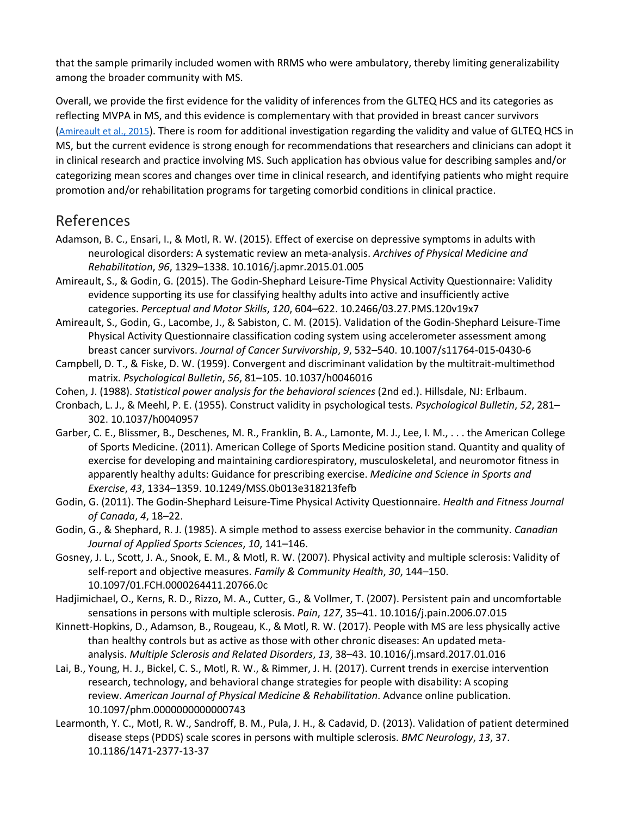that the sample primarily included women with RRMS who were ambulatory, thereby limiting generalizability among the broader community with MS.

Overall, we provide the first evidence for the validity of inferences from the GLTEQ HCS and its categories as reflecting MVPA in MS, and this evidence is complementary with that provided in breast cancer survivors [\(Amireault](https://0-web-b-ebscohost-com.libus.csd.mu.edu/ehost/detail/detail?vid=2&sid=03afdbc0-8d31-4c76-8ad9-eec2dc83d78c%40pdc-v-sessmgr03&bdata=JnNpdGU9ZWhvc3QtbGl2ZQ%3d%3d#c1) et al., 2015). There is room for additional investigation regarding the validity and value of GLTEQ HCS in MS, but the current evidence is strong enough for recommendations that researchers and clinicians can adopt it in clinical research and practice involving MS. Such application has obvious value for describing samples and/or categorizing mean scores and changes over time in clinical research, and identifying patients who might require promotion and/or rehabilitation programs for targeting comorbid conditions in clinical practice.

# [References](https://0-web-a-ebscohost-com.libus.csd.mu.edu/ehost/detail/detail?vid=3&sid=0a003e17-36ff-49f0-ba7f-e211cb5864f1%40sessionmgr4007&bdata=JnNpdGU9ZWhvc3QtbGl2ZQ%3d%3d#toc)

- Adamson, B. C., Ensari, I., & Motl, R. W. (2015). Effect of exercise on depressive symptoms in adults with neurological disorders: A systematic review an meta-analysis. *Archives of Physical Medicine and Rehabilitation*, *96*, 1329–1338. 10.1016/j.apmr.2015.01.005
- Amireault, S., & Godin, G. (2015). The Godin-Shephard Leisure-Time Physical Activity Questionnaire: Validity evidence supporting its use for classifying healthy adults into active and insufficiently active categories. *Perceptual and Motor Skills*, *120*, 604–622. 10.2466/03.27.PMS.120v19x7
- Amireault, S., Godin, G., Lacombe, J., & Sabiston, C. M. (2015). Validation of the Godin-Shephard Leisure-Time Physical Activity Questionnaire classification coding system using accelerometer assessment among breast cancer survivors. *Journal of Cancer Survivorship*, *9*, 532–540. 10.1007/s11764-015-0430-6
- Campbell, D. T., & Fiske, D. W. (1959). Convergent and discriminant validation by the multitrait-multimethod matrix. *Psychological Bulletin*, *56*, 81–105. 10.1037/h0046016
- Cohen, J. (1988). *Statistical power analysis for the behavioral sciences* (2nd ed.). Hillsdale, NJ: Erlbaum.
- Cronbach, L. J., & Meehl, P. E. (1955). Construct validity in psychological tests. *Psychological Bulletin*, *52*, 281– 302. 10.1037/h0040957
- Garber, C. E., Blissmer, B., Deschenes, M. R., Franklin, B. A., Lamonte, M. J., Lee, I. M., . . . the American College of Sports Medicine. (2011). American College of Sports Medicine position stand. Quantity and quality of exercise for developing and maintaining cardiorespiratory, musculoskeletal, and neuromotor fitness in apparently healthy adults: Guidance for prescribing exercise. *Medicine and Science in Sports and Exercise*, *43*, 1334–1359. 10.1249/MSS.0b013e318213fefb
- Godin, G. (2011). The Godin-Shephard Leisure-Time Physical Activity Questionnaire. *Health and Fitness Journal of Canada*, *4*, 18–22.
- Godin, G., & Shephard, R. J. (1985). A simple method to assess exercise behavior in the community. *Canadian Journal of Applied Sports Sciences*, *10*, 141–146.
- Gosney, J. L., Scott, J. A., Snook, E. M., & Motl, R. W. (2007). Physical activity and multiple sclerosis: Validity of self-report and objective measures. *Family & Community Health*, *30*, 144–150. 10.1097/01.FCH.0000264411.20766.0c
- Hadjimichael, O., Kerns, R. D., Rizzo, M. A., Cutter, G., & Vollmer, T. (2007). Persistent pain and uncomfortable sensations in persons with multiple sclerosis. *Pain*, *127*, 35–41. 10.1016/j.pain.2006.07.015
- Kinnett-Hopkins, D., Adamson, B., Rougeau, K., & Motl, R. W. (2017). People with MS are less physically active than healthy controls but as active as those with other chronic diseases: An updated metaanalysis. *Multiple Sclerosis and Related Disorders*, *13*, 38–43. 10.1016/j.msard.2017.01.016
- Lai, B., Young, H. J., Bickel, C. S., Motl, R. W., & Rimmer, J. H. (2017). Current trends in exercise intervention research, technology, and behavioral change strategies for people with disability: A scoping review. *American Journal of Physical Medicine & Rehabilitation*. Advance online publication. 10.1097/phm.0000000000000743
- Learmonth, Y. C., Motl, R. W., Sandroff, B. M., Pula, J. H., & Cadavid, D. (2013). Validation of patient determined disease steps (PDDS) scale scores in persons with multiple sclerosis. *BMC Neurology*, *13*, 37. 10.1186/1471-2377-13-37